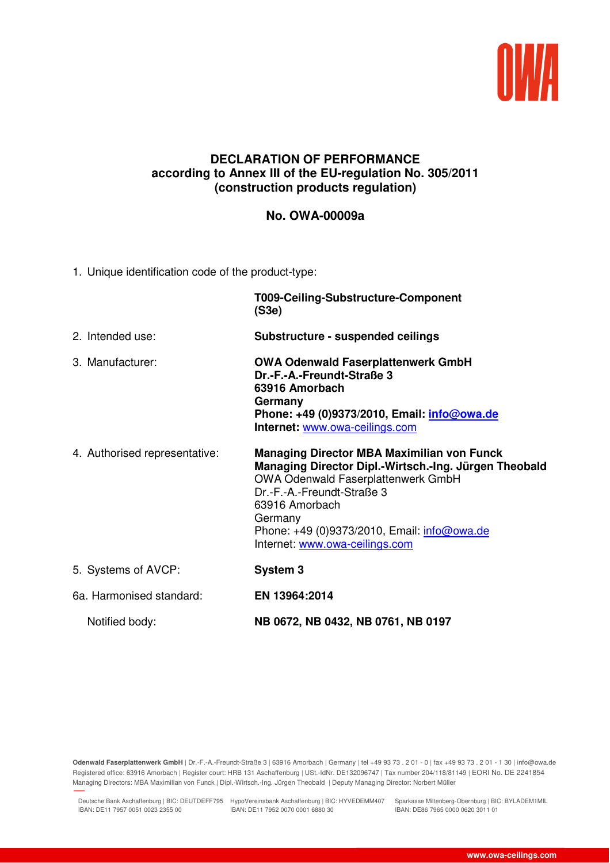

## **DECLARATION OF PERFORMANCE according to Annex III of the EU-regulation No. 305/2011 (construction products regulation)**

## **No. OWA-00009a**

1. Unique identification code of the product-type:

|                               | T009-Ceiling-Substructure-Component<br>(S3e)                                                                                                                                                                                                                                                 |  |
|-------------------------------|----------------------------------------------------------------------------------------------------------------------------------------------------------------------------------------------------------------------------------------------------------------------------------------------|--|
| 2. Intended use:              | Substructure - suspended ceilings                                                                                                                                                                                                                                                            |  |
| 3. Manufacturer:              | <b>OWA Odenwald Faserplattenwerk GmbH</b><br>Dr.-F.-A.-Freundt-Straße 3<br>63916 Amorbach<br>Germany<br>Phone: +49 (0)9373/2010, Email: <i>info@owa.de</i><br>Internet: www.owa-ceilings.com                                                                                                 |  |
| 4. Authorised representative: | <b>Managing Director MBA Maximilian von Funck</b><br>Managing Director Dipl.-Wirtsch.-Ing. Jürgen Theobald<br>OWA Odenwald Faserplattenwerk GmbH<br>Dr.-F.-A.-Freundt-Straße 3<br>63916 Amorbach<br>Germany<br>Phone: +49 (0)9373/2010, Email: info@owa.de<br>Internet: www.owa-ceilings.com |  |
| 5. Systems of AVCP:           | System 3                                                                                                                                                                                                                                                                                     |  |
| 6a. Harmonised standard:      | EN 13964:2014                                                                                                                                                                                                                                                                                |  |
| Notified body:                | NB 0672, NB 0432, NB 0761, NB 0197                                                                                                                                                                                                                                                           |  |

**Odenwald Faserplattenwerk GmbH** | Dr.-F.-A.-Freundt-Straße 3 | 63916 Amorbach | Germany | tel +49 93 73 . 2 01 - 0 | fax +49 93 73 . 2 01 - 1 30 | info@owa.de Registered office: 63916 Amorbach | Register court: HRB 131 Aschaffenburg | USt.-IdNr. DE132096747 | Tax number 204/118/81149 | EORI No. DE 2241854 Managing Directors: MBA Maximilian von Funck | Dipl.-Wirtsch.-Ing. Jürgen Theobald | Deputy Managing Director: Norbert Müller

Deutsche Bank Aschaffenburg | BIC: DEUTDEFF795 HypoVereinsbank Aschaffenburg | BIC: HYVEDEMM407 Sparkasse Miltenberg-Obernburg | BIC: BYLADEM1MIL IBAN: DE11 7957 0051 0023 2355 00 IBAN: DE11 7952 0070 0001 6880 30

26.02.2019 11:01

IBAN: DE86 7965 0000 0620 3011 01